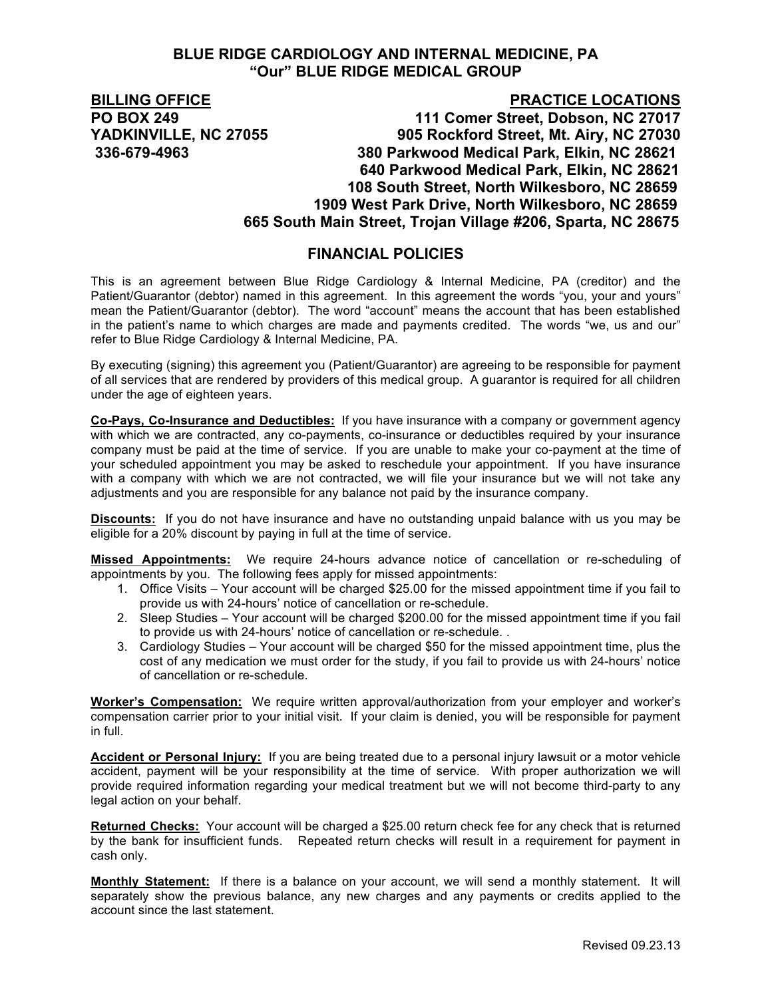### **BLUE RIDGE CARDIOLOGY AND INTERNAL MEDICINE, PA "Our" BLUE RIDGE MEDICAL GROUP**

# **BILLING OFFICE PRACTICE LOCATIONS PO BOX 249 111 Comer Street, Dobson, NC 27017 YADKINVILLE, NC 27055 905 Rockford Street, Mt. Airy, NC 27030**

 **336-679-4963 380 Parkwood Medical Park, Elkin, NC 28621 640 Parkwood Medical Park, Elkin, NC 28621 108 South Street, North Wilkesboro, NC 28659 1909 West Park Drive, North Wilkesboro, NC 28659 665 South Main Street, Trojan Village #206, Sparta, NC 28675**

## **FINANCIAL POLICIES**

This is an agreement between Blue Ridge Cardiology & Internal Medicine, PA (creditor) and the Patient/Guarantor (debtor) named in this agreement. In this agreement the words "you, your and yours" mean the Patient/Guarantor (debtor). The word "account" means the account that has been established in the patient's name to which charges are made and payments credited. The words "we, us and our" refer to Blue Ridge Cardiology & Internal Medicine, PA.

By executing (signing) this agreement you (Patient/Guarantor) are agreeing to be responsible for payment of all services that are rendered by providers of this medical group. A guarantor is required for all children under the age of eighteen years.

**Co-Pays, Co-Insurance and Deductibles:** If you have insurance with a company or government agency with which we are contracted, any co-payments, co-insurance or deductibles required by your insurance company must be paid at the time of service. If you are unable to make your co-payment at the time of your scheduled appointment you may be asked to reschedule your appointment. If you have insurance with a company with which we are not contracted, we will file your insurance but we will not take any adjustments and you are responsible for any balance not paid by the insurance company.

**Discounts:** If you do not have insurance and have no outstanding unpaid balance with us you may be eligible for a 20% discount by paying in full at the time of service.

**Missed Appointments:** We require 24-hours advance notice of cancellation or re-scheduling of appointments by you. The following fees apply for missed appointments:

- 1. Office Visits Your account will be charged \$25.00 for the missed appointment time if you fail to provide us with 24-hours' notice of cancellation or re-schedule.
- 2. Sleep Studies Your account will be charged \$200.00 for the missed appointment time if you fail to provide us with 24-hours' notice of cancellation or re-schedule. .
- 3. Cardiology Studies Your account will be charged \$50 for the missed appointment time, plus the cost of any medication we must order for the study, if you fail to provide us with 24-hours' notice of cancellation or re-schedule.

**Worker's Compensation:** We require written approval/authorization from your employer and worker's compensation carrier prior to your initial visit. If your claim is denied, you will be responsible for payment in full.

**Accident or Personal Injury:** If you are being treated due to a personal injury lawsuit or a motor vehicle accident, payment will be your responsibility at the time of service. With proper authorization we will provide required information regarding your medical treatment but we will not become third-party to any legal action on your behalf.

**Returned Checks:** Your account will be charged a \$25.00 return check fee for any check that is returned by the bank for insufficient funds. Repeated return checks will result in a requirement for payment in cash only.

**Monthly Statement:** If there is a balance on your account, we will send a monthly statement. It will separately show the previous balance, any new charges and any payments or credits applied to the account since the last statement.